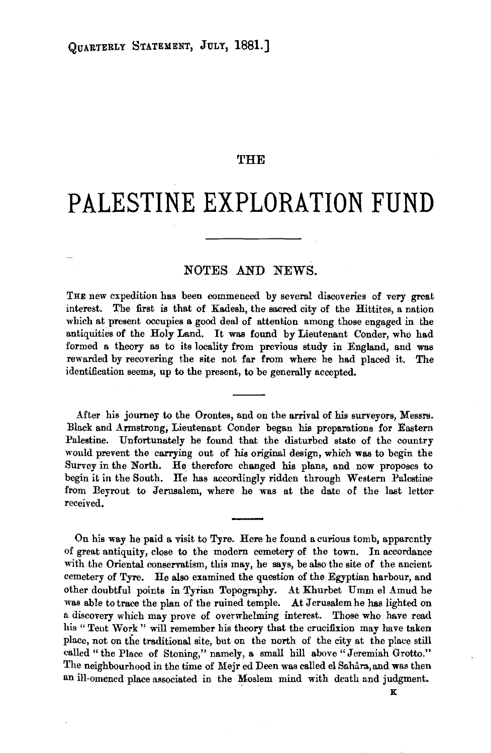## THE

## **PALESTINE EXPLORATION FUND**

## NOTES AND NEWS.

THE new expedition has been commenced by several discoveries of very great interest. The first is that of Kadesh, the sacred city of the Hittites, a nation which at present occupies a good deal of attention among those engaged in the antiquities of the Holy Land. It was found by Lieutenant Conder, who had formed a theory as to its locality from previous study in England, and wns rewarded by recovering the site not far from where he had placed it. The identification seems, up to the present, to be generally accepted.

After his journey to the Orontes, and on the arrival of his surveyors, Messrs. Black and Armstrong, Lieutenant Conder began his preparations for Eastern Palestine. Unfortunately he found that the disturbed state of the country would prevent the carrying out of his original design, which was to begin the Survey in the North. He therefore changed his plans, and now proposes to begin it in the South. He has accordingly ridden through Western Palestine from Beyrout to Jerusalem, where he was at the date of the last letter received.

On his way he paid a visit to Tyre. Here he found a curious tomb, apparently of great antiquity, close to the modem cemetery of the town. In accordance with the Oriental conservatism, this may, he says, be also the site of the ancient cemetery of Tyre. He also examined the question of the Egyptian harbour, and other doubtful points in Tyrian Topography. At Khurbet  $U_{mm}$  el Amud he was able to trace the plan of the ruined temple. At Jerusalem he has lighted on a discovery which may prove of overwhelming interest. Those who have read his " Tent Work " will remember his theory that the crucifixion may have taken place, not on the traditional site, but on the north of the city at the place still called " the Place of Stoning," namely, a small hill above "Jeremiah Grotto." The neighbourhood in the time of Mejr ed Deen was called el Sahâra, and was then an ill-omened place associated in the Moslem mind with death and judgment.

K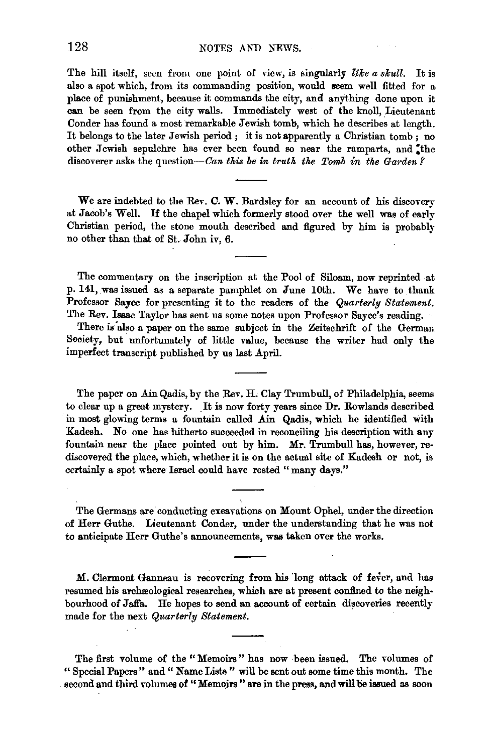The hill itself, seen from one point of view, is singularly *like a skull*. It is also a spot which, from its commanding position, would seem well fitted for a place of punishment, because it commands the city, and anything done upon it can be seen from the city walls. Immediately west of the knoll, Lieutenant Conder has found a most remarkable Jewish tomb, which he describes at length. It belongs to the later Jewish period ; it is not apparently a Christian tomb ; no other Jewish sepulchre has ever been found so near the ramparts, and the discoverer asks the question-Can this be in truth the Tomb in the Garden?

We are indebted to the Rev. C. W. Bardsley for an account of his discovery at Jacob's Well. If the chapel which formerly stood over the well was of early Christian period, the stone mouth described and figured by him is probably no other than that of St. John iv, 6.

The commentary on the inscription at the Pool of Siloam, now reprinted at p. 141, was issued as a separate pamphlet on June 10th. We have to thank Professor Sayce for presenting it to the readers of the *Quarterly Statement.*  The Rev. Isaac Taylor has sent us some notes upon Professor Sayce's reading.

There is also a paper on the same subject in the Zeitschrift of the German Seciety, but unfortunately of little value, because the writer had only the imperfect transcript published by us last April.

The paper on Ain Qadis, by the Rev. H. Clay Trumbull, of Philadelphia, seems to clear up a great mystery. It is now forty years since Dr. Rowlands described in most glowing terms a fountain called Ain Qadis, which he identified with Kadesh. No one has hitherto succeeded in reconciling his description with any fountain near the place pointed out by him. Mr. Trumbull has, however, rediscovered the place, which, whether it is on the actual site of Kadesh or not, is certainly a spot where Israel could have rested "many days."

The Germans are conducting excavations on Mount Ophel, under the direction of Herr Guthe. Lieutenant Conder, under the understanding that he was not to anticipate Herr Guthe's announcements, was taken over the works.

M. Clermont Ganneau is recovering from his 'long attack of fever, and has resumed his archæological researches, which are at present confined to the neighbourhood of Jalfa. He hopes to send an account of certain discoveries recently made for the next *Quarterly Statement.* 

The first volume of the " Memoirs " has now been issued. The volumes of "Special Papers" and" Name Lists" will be sent out some time this month. The second and third volumes of "Memoirs" are in the press, and will be issued as soon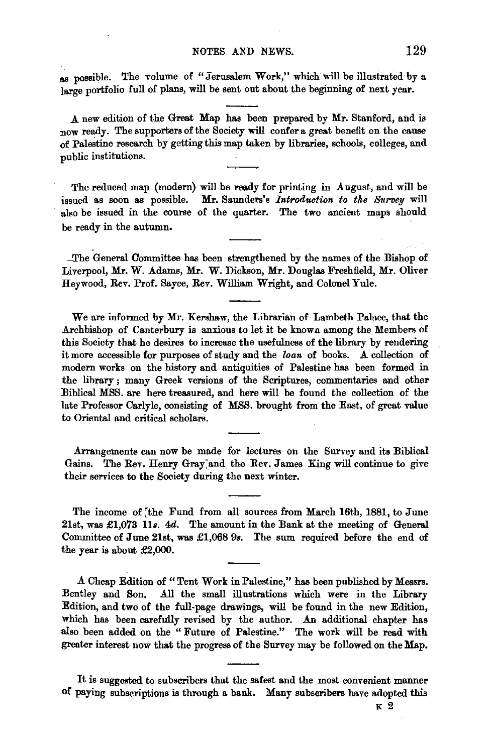as possible. The volume of "Jerusalem Work," which will be illustrated by a large portfolio full of plans, will be sent out about the beginning of next year.

A new edition of the Great Map has been prepared by Mr. Stanford, and is now ready. The supporters of the Society will confer a great benefit on the cause of Palestine research by getting this map taken by libraries, schools, colleges, and public institutions.

The reduced map (modern) will be ready for printing in August, and will be issued as soon as possible. Mr. Saunders's *Introduction to the Survey* will also be issued in the course of the quarter. The two ancient maps should be ready in the autumn.

-The General Committee has been strengthened by the names of the Bishop of Liverpool, Mr. W. Adams, Mr. W. Dickson, Mr. Douglas Freshfield, Mr. Oliver Heywood, Rev. Prof. Sayce, Rev. William Wright, and Colonel Yule.

We are informed by Mr. Kershaw, the Librarian of Lambeth Palace, that the Archbishop of Canterbury is anxious to let it be known among the Members of . this Society that he desires to increase the usefulness of the library by rendering it more accessible for purposes of study and the *loan* of books. A collection of modern works on the history and antiquities of Palestine has been formed in the lihrary ; many Greek versions of the Scriptures, commentaries and other Biblical MSS. are here treasured, and here will be found the collection of the late Professor Carlyle, consisting of MSS. brought from the East, of great value to Oriental and critical scholars.

Arrangements can now be made for lectures on the Survey and its Biblical Gains. The Rev. Henry Gray:and the Rev. James King will continue to give their services to the Society during the next winter.

The income of the Fund from all sources from March 16th, 1881, to June 21st, was £1,073 lls. 4d. The amount in the Bank at the meeting of General Committee of June 21st, was £1,068 *9s.* The sum required before the end of the year is about £2,000.

*A* Cheap Edition of "Tent Work in Palestine," has been published by Messrs. Bentley and Son. All the small illustrations which were in the Library Edition, and two of the full-page drawings, will be found in the new Edition, which has been carefully revised by the author. An additional chapter has also been added on the "Future of Palestine." The work will be read with greater interest now that the progress of the Survey may be followed on the Map.

It is suggested to subscribers that the safest and the most convenient manner of paying subscriptions is through a. bank. Many subscribers have adopted this